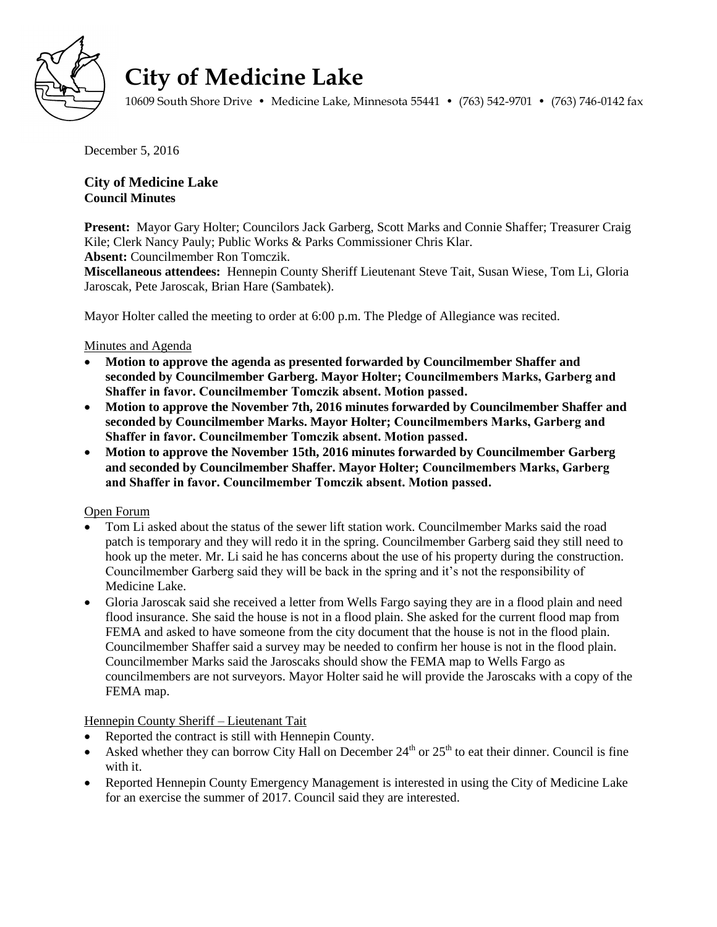

# **City of Medicine Lake**

10609 South Shore Drive • Medicine Lake, Minnesota 55441 • (763) 542-9701 • (763) 746-0142 fax

December 5, 2016

# **City of Medicine Lake Council Minutes**

**Present:** Mayor Gary Holter; Councilors Jack Garberg, Scott Marks and Connie Shaffer; Treasurer Craig Kile; Clerk Nancy Pauly; Public Works & Parks Commissioner Chris Klar. **Absent:** Councilmember Ron Tomczik.

**Miscellaneous attendees:** Hennepin County Sheriff Lieutenant Steve Tait, Susan Wiese, Tom Li, Gloria Jaroscak, Pete Jaroscak, Brian Hare (Sambatek).

Mayor Holter called the meeting to order at 6:00 p.m. The Pledge of Allegiance was recited.

## Minutes and Agenda

- **Motion to approve the agenda as presented forwarded by Councilmember Shaffer and seconded by Councilmember Garberg. Mayor Holter; Councilmembers Marks, Garberg and Shaffer in favor. Councilmember Tomczik absent. Motion passed.**
- **Motion to approve the November 7th, 2016 minutes forwarded by Councilmember Shaffer and seconded by Councilmember Marks. Mayor Holter; Councilmembers Marks, Garberg and Shaffer in favor. Councilmember Tomczik absent. Motion passed.**
- **Motion to approve the November 15th, 2016 minutes forwarded by Councilmember Garberg and seconded by Councilmember Shaffer. Mayor Holter; Councilmembers Marks, Garberg and Shaffer in favor. Councilmember Tomczik absent. Motion passed.**

### Open Forum

- Tom Li asked about the status of the sewer lift station work. Councilmember Marks said the road patch is temporary and they will redo it in the spring. Councilmember Garberg said they still need to hook up the meter. Mr. Li said he has concerns about the use of his property during the construction. Councilmember Garberg said they will be back in the spring and it's not the responsibility of Medicine Lake.
- Gloria Jaroscak said she received a letter from Wells Fargo saying they are in a flood plain and need flood insurance. She said the house is not in a flood plain. She asked for the current flood map from FEMA and asked to have someone from the city document that the house is not in the flood plain. Councilmember Shaffer said a survey may be needed to confirm her house is not in the flood plain. Councilmember Marks said the Jaroscaks should show the FEMA map to Wells Fargo as councilmembers are not surveyors. Mayor Holter said he will provide the Jaroscaks with a copy of the FEMA map.

# Hennepin County Sheriff – Lieutenant Tait

- Reported the contract is still with Hennepin County.
- Asked whether they can borrow City Hall on December  $24<sup>th</sup>$  or  $25<sup>th</sup>$  to eat their dinner. Council is fine with it.
- Reported Hennepin County Emergency Management is interested in using the City of Medicine Lake for an exercise the summer of 2017. Council said they are interested.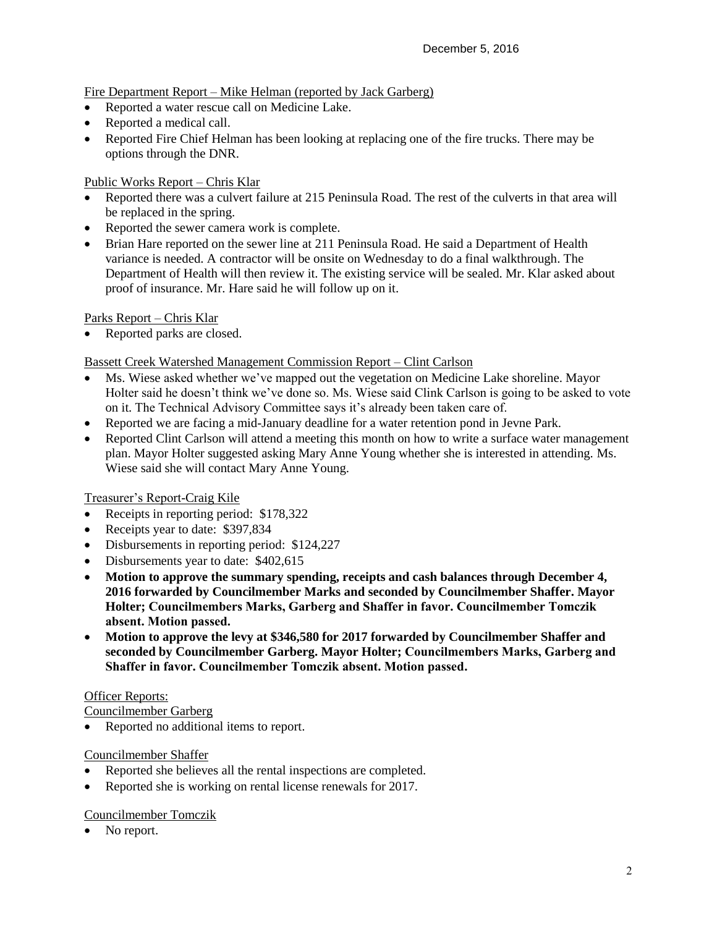# Fire Department Report – Mike Helman (reported by Jack Garberg)

- Reported a water rescue call on Medicine Lake.
- Reported a medical call.
- Reported Fire Chief Helman has been looking at replacing one of the fire trucks. There may be options through the DNR.

## Public Works Report – Chris Klar

- Reported there was a culvert failure at 215 Peninsula Road. The rest of the culverts in that area will be replaced in the spring.
- Reported the sewer camera work is complete.
- Brian Hare reported on the sewer line at 211 Peninsula Road. He said a Department of Health variance is needed. A contractor will be onsite on Wednesday to do a final walkthrough. The Department of Health will then review it. The existing service will be sealed. Mr. Klar asked about proof of insurance. Mr. Hare said he will follow up on it.

### Parks Report – Chris Klar

Reported parks are closed.

## Bassett Creek Watershed Management Commission Report – Clint Carlson

- Ms. Wiese asked whether we've mapped out the vegetation on Medicine Lake shoreline. Mayor Holter said he doesn't think we've done so. Ms. Wiese said Clink Carlson is going to be asked to vote on it. The Technical Advisory Committee says it's already been taken care of.
- Reported we are facing a mid-January deadline for a water retention pond in Jevne Park.
- Reported Clint Carlson will attend a meeting this month on how to write a surface water management plan. Mayor Holter suggested asking Mary Anne Young whether she is interested in attending. Ms. Wiese said she will contact Mary Anne Young.

### Treasurer's Report-Craig Kile

- Receipts in reporting period: \$178,322
- Receipts year to date: \$397,834
- Disbursements in reporting period: \$124,227
- Disbursements year to date: \$402,615
- **Motion to approve the summary spending, receipts and cash balances through December 4, 2016 forwarded by Councilmember Marks and seconded by Councilmember Shaffer. Mayor Holter; Councilmembers Marks, Garberg and Shaffer in favor. Councilmember Tomczik absent. Motion passed.**
- **Motion to approve the levy at \$346,580 for 2017 forwarded by Councilmember Shaffer and seconded by Councilmember Garberg. Mayor Holter; Councilmembers Marks, Garberg and Shaffer in favor. Councilmember Tomczik absent. Motion passed.**

### Officer Reports:

Councilmember Garberg

Reported no additional items to report.

### Councilmember Shaffer

- Reported she believes all the rental inspections are completed.
- Reported she is working on rental license renewals for 2017.

### Councilmember Tomczik

• No report.